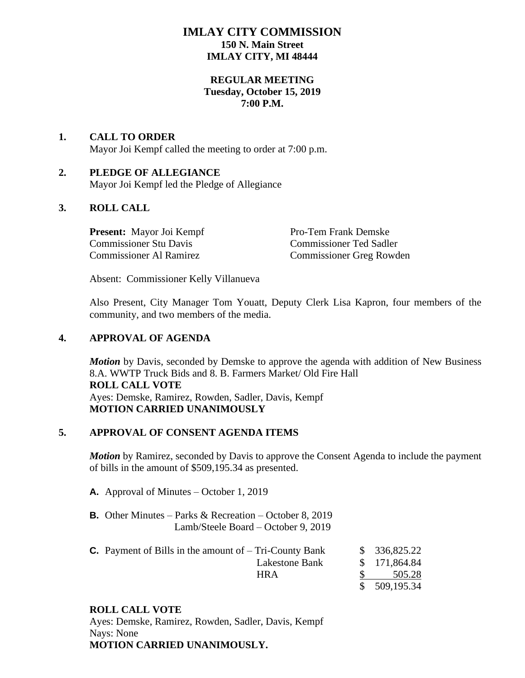# **IMLAY CITY COMMISSION 150 N. Main Street IMLAY CITY, MI 48444**

### **REGULAR MEETING Tuesday, October 15, 2019 7:00 P.M.**

### **1. CALL TO ORDER** Mayor Joi Kempf called the meeting to order at 7:00 p.m.

# **2. PLEDGE OF ALLEGIANCE**

Mayor Joi Kempf led the Pledge of Allegiance

# **3. ROLL CALL**

**Present:** Mayor Joi Kempf Pro-Tem Frank Demske Commissioner Stu Davis Commissioner Ted Sadler

Commissioner Al Ramirez Commissioner Greg Rowden

Absent: Commissioner Kelly Villanueva

Also Present, City Manager Tom Youatt, Deputy Clerk Lisa Kapron, four members of the community, and two members of the media.

# **4. APPROVAL OF AGENDA**

*Motion* by Davis, seconded by Demske to approve the agenda with addition of New Business 8.A. WWTP Truck Bids and 8. B. Farmers Market/ Old Fire Hall **ROLL CALL VOTE** Ayes: Demske, Ramirez, Rowden, Sadler, Davis, Kempf **MOTION CARRIED UNANIMOUSLY**

# **5. APPROVAL OF CONSENT AGENDA ITEMS**

*Motion* by Ramirez, seconded by Davis to approve the Consent Agenda to include the payment of bills in the amount of \$509,195.34 as presented.

- **A.** Approval of Minutes October 1, 2019
- **B.** Other Minutes Parks & Recreation October 8, 2019 Lamb/Steele Board – October 9, 2019

| <b>C.</b> Payment of Bills in the amount of $-$ Tri-County Bank | \$336,825.22 |
|-----------------------------------------------------------------|--------------|
| Lakestone Bank                                                  | \$171,864.84 |
| <b>HRA</b>                                                      | 505.28       |
|                                                                 | \$509,195.34 |

# **ROLL CALL VOTE**

Ayes: Demske, Ramirez, Rowden, Sadler, Davis, Kempf Nays: None **MOTION CARRIED UNANIMOUSLY.**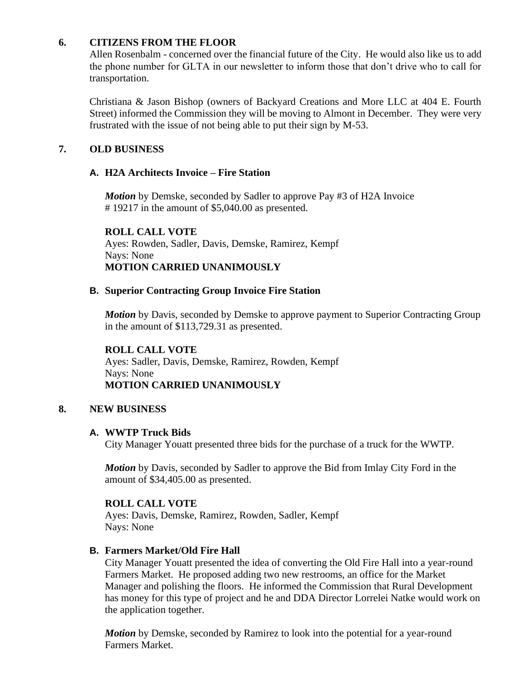# **6. CITIZENS FROM THE FLOOR**

Allen Rosenbalm - concerned over the financial future of the City. He would also like us to add the phone number for GLTA in our newsletter to inform those that don't drive who to call for transportation.

Christiana & Jason Bishop (owners of Backyard Creations and More LLC at 404 E. Fourth Street) informed the Commission they will be moving to Almont in December. They were very frustrated with the issue of not being able to put their sign by M-53.

### **7. OLD BUSINESS**

### **A. H2A Architects Invoice – Fire Station**

*Motion* by Demske, seconded by Sadler to approve Pay #3 of H2A Invoice # 19217 in the amount of \$5,040.00 as presented.

#### **ROLL CALL VOTE**

Ayes: Rowden, Sadler, Davis, Demske, Ramirez, Kempf Nays: None **MOTION CARRIED UNANIMOUSLY**

#### **B. Superior Contracting Group Invoice Fire Station**

*Motion* by Davis, seconded by Demske to approve payment to Superior Contracting Group in the amount of \$113,729.31 as presented.

### **ROLL CALL VOTE**

Ayes: Sadler, Davis, Demske, Ramirez, Rowden, Kempf Nays: None **MOTION CARRIED UNANIMOUSLY**

### **8. NEW BUSINESS**

#### **A. WWTP Truck Bids**

City Manager Youatt presented three bids for the purchase of a truck for the WWTP.

*Motion* by Davis, seconded by Sadler to approve the Bid from Imlay City Ford in the amount of \$34,405.00 as presented.

### **ROLL CALL VOTE**

Ayes: Davis, Demske, Ramirez, Rowden, Sadler, Kempf Nays: None

### **B. Farmers Market/Old Fire Hall**

City Manager Youatt presented the idea of converting the Old Fire Hall into a year-round Farmers Market. He proposed adding two new restrooms, an office for the Market Manager and polishing the floors. He informed the Commission that Rural Development has money for this type of project and he and DDA Director Lorrelei Natke would work on the application together.

*Motion* by Demske, seconded by Ramirez to look into the potential for a year-round Farmers Market.